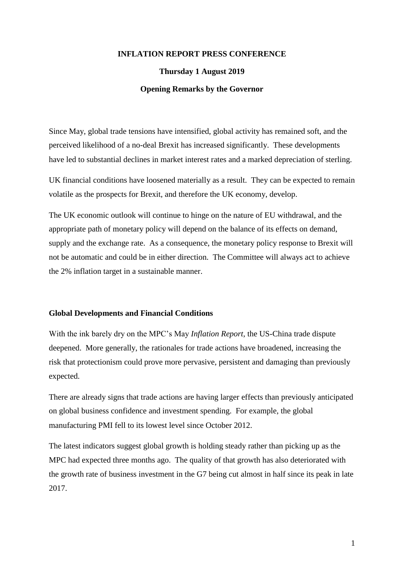## **INFLATION REPORT PRESS CONFERENCE**

### **Thursday 1 August 2019**

#### **Opening Remarks by the Governor**

Since May, global trade tensions have intensified, global activity has remained soft, and the perceived likelihood of a no-deal Brexit has increased significantly. These developments have led to substantial declines in market interest rates and a marked depreciation of sterling.

UK financial conditions have loosened materially as a result. They can be expected to remain volatile as the prospects for Brexit, and therefore the UK economy, develop.

The UK economic outlook will continue to hinge on the nature of EU withdrawal, and the appropriate path of monetary policy will depend on the balance of its effects on demand, supply and the exchange rate. As a consequence, the monetary policy response to Brexit will not be automatic and could be in either direction. The Committee will always act to achieve the 2% inflation target in a sustainable manner.

#### **Global Developments and Financial Conditions**

With the ink barely dry on the MPC's May *Inflation Report*, the US-China trade dispute deepened. More generally, the rationales for trade actions have broadened, increasing the risk that protectionism could prove more pervasive, persistent and damaging than previously expected.

There are already signs that trade actions are having larger effects than previously anticipated on global business confidence and investment spending. For example, the global manufacturing PMI fell to its lowest level since October 2012.

The latest indicators suggest global growth is holding steady rather than picking up as the MPC had expected three months ago. The quality of that growth has also deteriorated with the growth rate of business investment in the G7 being cut almost in half since its peak in late 2017.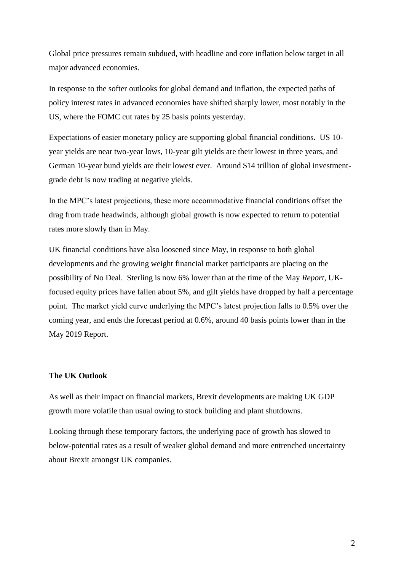Global price pressures remain subdued, with headline and core inflation below target in all major advanced economies.

In response to the softer outlooks for global demand and inflation, the expected paths of policy interest rates in advanced economies have shifted sharply lower, most notably in the US, where the FOMC cut rates by 25 basis points yesterday.

Expectations of easier monetary policy are supporting global financial conditions. US 10 year yields are near two-year lows, 10-year gilt yields are their lowest in three years, and German 10-year bund yields are their lowest ever. Around \$14 trillion of global investmentgrade debt is now trading at negative yields.

In the MPC's latest projections, these more accommodative financial conditions offset the drag from trade headwinds, although global growth is now expected to return to potential rates more slowly than in May.

UK financial conditions have also loosened since May, in response to both global developments and the growing weight financial market participants are placing on the possibility of No Deal. Sterling is now 6% lower than at the time of the May *Report*, UKfocused equity prices have fallen about 5%, and gilt yields have dropped by half a percentage point. The market yield curve underlying the MPC's latest projection falls to 0.5% over the coming year, and ends the forecast period at 0.6%, around 40 basis points lower than in the May 2019 Report.

# **The UK Outlook**

As well as their impact on financial markets, Brexit developments are making UK GDP growth more volatile than usual owing to stock building and plant shutdowns.

Looking through these temporary factors, the underlying pace of growth has slowed to below-potential rates as a result of weaker global demand and more entrenched uncertainty about Brexit amongst UK companies.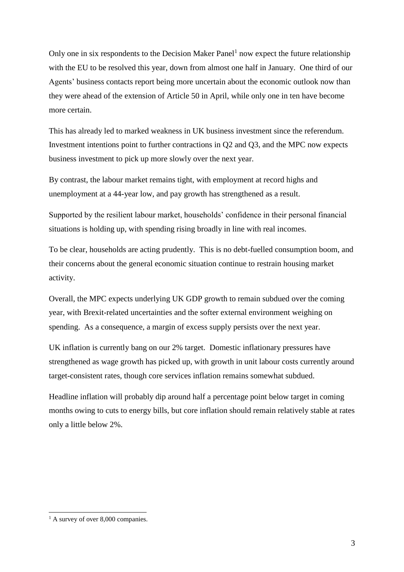Only one in six respondents to the Decision Maker Panel<sup>1</sup> now expect the future relationship with the EU to be resolved this year, down from almost one half in January. One third of our Agents' business contacts report being more uncertain about the economic outlook now than they were ahead of the extension of Article 50 in April, while only one in ten have become more certain.

This has already led to marked weakness in UK business investment since the referendum. Investment intentions point to further contractions in Q2 and Q3, and the MPC now expects business investment to pick up more slowly over the next year.

By contrast, the labour market remains tight, with employment at record highs and unemployment at a 44-year low, and pay growth has strengthened as a result.

Supported by the resilient labour market, households' confidence in their personal financial situations is holding up, with spending rising broadly in line with real incomes.

To be clear, households are acting prudently. This is no debt-fuelled consumption boom, and their concerns about the general economic situation continue to restrain housing market activity.

Overall, the MPC expects underlying UK GDP growth to remain subdued over the coming year, with Brexit-related uncertainties and the softer external environment weighing on spending. As a consequence, a margin of excess supply persists over the next year.

UK inflation is currently bang on our 2% target. Domestic inflationary pressures have strengthened as wage growth has picked up, with growth in unit labour costs currently around target-consistent rates, though core services inflation remains somewhat subdued.

Headline inflation will probably dip around half a percentage point below target in coming months owing to cuts to energy bills, but core inflation should remain relatively stable at rates only a little below 2%.

-

 $<sup>1</sup>$  A survey of over 8,000 companies.</sup>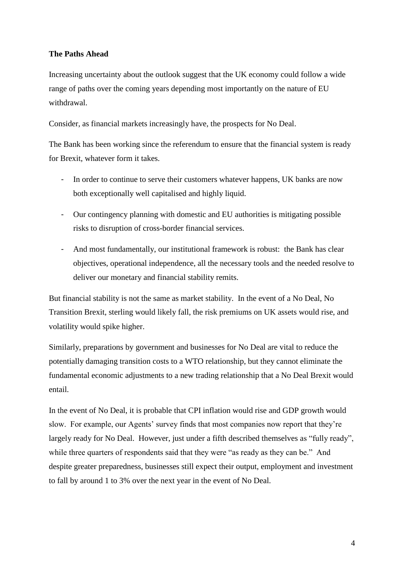# **The Paths Ahead**

Increasing uncertainty about the outlook suggest that the UK economy could follow a wide range of paths over the coming years depending most importantly on the nature of EU withdrawal.

Consider, as financial markets increasingly have, the prospects for No Deal.

The Bank has been working since the referendum to ensure that the financial system is ready for Brexit, whatever form it takes.

- In order to continue to serve their customers whatever happens, UK banks are now both exceptionally well capitalised and highly liquid.
- Our contingency planning with domestic and EU authorities is mitigating possible risks to disruption of cross-border financial services.
- And most fundamentally, our institutional framework is robust: the Bank has clear objectives, operational independence, all the necessary tools and the needed resolve to deliver our monetary and financial stability remits.

But financial stability is not the same as market stability. In the event of a No Deal, No Transition Brexit, sterling would likely fall, the risk premiums on UK assets would rise, and volatility would spike higher.

Similarly, preparations by government and businesses for No Deal are vital to reduce the potentially damaging transition costs to a WTO relationship, but they cannot eliminate the fundamental economic adjustments to a new trading relationship that a No Deal Brexit would entail.

In the event of No Deal, it is probable that CPI inflation would rise and GDP growth would slow. For example, our Agents' survey finds that most companies now report that they're largely ready for No Deal. However, just under a fifth described themselves as "fully ready", while three quarters of respondents said that they were "as ready as they can be." And despite greater preparedness, businesses still expect their output, employment and investment to fall by around 1 to 3% over the next year in the event of No Deal.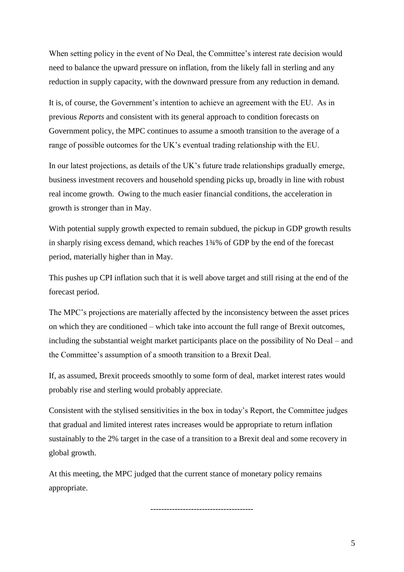When setting policy in the event of No Deal, the Committee's interest rate decision would need to balance the upward pressure on inflation, from the likely fall in sterling and any reduction in supply capacity, with the downward pressure from any reduction in demand.

It is, of course, the Government's intention to achieve an agreement with the EU. As in previous *Reports* and consistent with its general approach to condition forecasts on Government policy, the MPC continues to assume a smooth transition to the average of a range of possible outcomes for the UK's eventual trading relationship with the EU.

In our latest projections, as details of the UK's future trade relationships gradually emerge, business investment recovers and household spending picks up, broadly in line with robust real income growth. Owing to the much easier financial conditions, the acceleration in growth is stronger than in May.

With potential supply growth expected to remain subdued, the pickup in GDP growth results in sharply rising excess demand, which reaches 1¾% of GDP by the end of the forecast period, materially higher than in May.

This pushes up CPI inflation such that it is well above target and still rising at the end of the forecast period.

The MPC's projections are materially affected by the inconsistency between the asset prices on which they are conditioned – which take into account the full range of Brexit outcomes, including the substantial weight market participants place on the possibility of No Deal – and the Committee's assumption of a smooth transition to a Brexit Deal.

If, as assumed, Brexit proceeds smoothly to some form of deal, market interest rates would probably rise and sterling would probably appreciate.

Consistent with the stylised sensitivities in the box in today's Report, the Committee judges that gradual and limited interest rates increases would be appropriate to return inflation sustainably to the 2% target in the case of a transition to a Brexit deal and some recovery in global growth.

At this meeting, the MPC judged that the current stance of monetary policy remains appropriate.

--------------------------------------